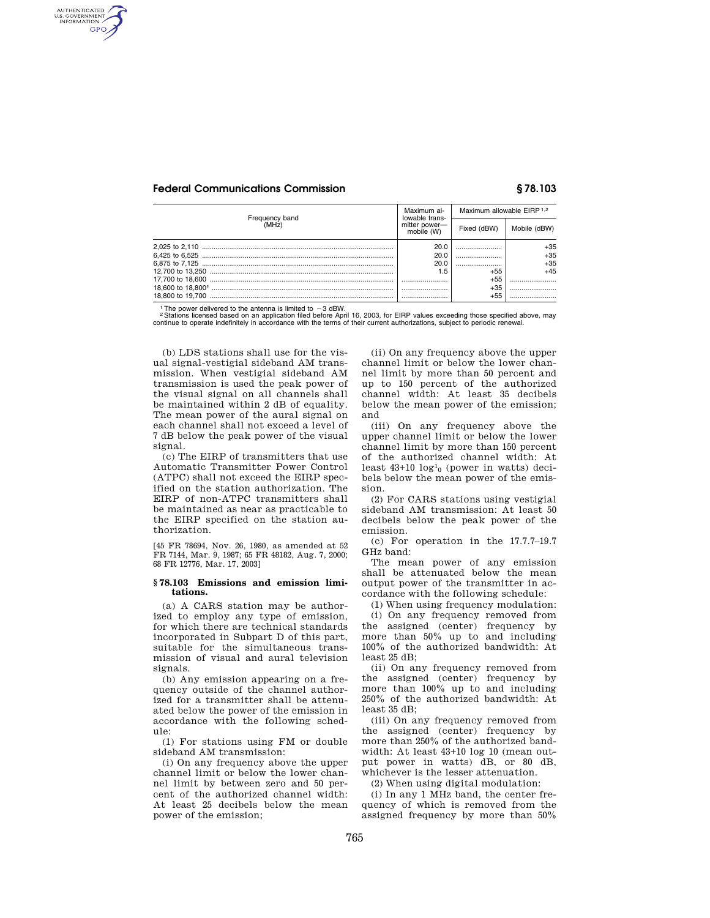## **Federal Communications Commission § 78.103**

AUTHENTICATED<br>U.S. GOVERNMENT<br>INFORMATION **GPO** 

| Frequency band<br>(MHŹ) | Maximum al-<br>lowable trans-<br>mitter power-<br>mobile (W) | Maximum allowable EIRP 1,2 |              |
|-------------------------|--------------------------------------------------------------|----------------------------|--------------|
|                         |                                                              | Fixed (dBW)                | Mobile (dBW) |
|                         | 20.0                                                         |                            | +35          |
|                         | 20.0                                                         |                            | $+35$        |
|                         | 20.0                                                         |                            | $+35$        |
|                         | 1.5                                                          | +55                        | $+45$        |
|                         |                                                              | +55                        |              |
|                         |                                                              | $+35$                      |              |
| 18,800 to 19,700        |                                                              | $+55$                      |              |

<sup>1</sup>The power delivered to the antenna is limited to -3 dBW.<br><sup>2</sup> Stations licensed based on an application filed before April 16, 2003, for EIRP values exceeding those specified above, may<br>continue to operate indefinitely i

(b) LDS stations shall use for the visual signal-vestigial sideband AM transmission. When vestigial sideband AM transmission is used the peak power of the visual signal on all channels shall be maintained within 2 dB of equality. The mean power of the aural signal on each channel shall not exceed a level of 7 dB below the peak power of the visual signal.

(c) The EIRP of transmitters that use Automatic Transmitter Power Control (ATPC) shall not exceed the EIRP specified on the station authorization. The EIRP of non-ATPC transmitters shall be maintained as near as practicable to the EIRP specified on the station authorization.

[45 FR 78694, Nov. 26, 1980, as amended at 52 FR 7144, Mar. 9, 1987; 65 FR 48182, Aug. 7, 2000; 68 FR 12776, Mar. 17, 2003]

### **§ 78.103 Emissions and emission limitations.**

(a) A CARS station may be authorized to employ any type of emission, for which there are technical standards incorporated in Subpart D of this part, suitable for the simultaneous transmission of visual and aural television signals.

(b) Any emission appearing on a frequency outside of the channel authorized for a transmitter shall be attenuated below the power of the emission in accordance with the following schedule:

(1) For stations using FM or double sideband AM transmission:

(i) On any frequency above the upper channel limit or below the lower channel limit by between zero and 50 percent of the authorized channel width: At least 25 decibels below the mean power of the emission;

(ii) On any frequency above the upper channel limit or below the lower channel limit by more than 50 percent and up to 150 percent of the authorized channel width: At least 35 decibels below the mean power of the emission; and

(iii) On any frequency above the upper channel limit or below the lower channel limit by more than 150 percent of the authorized channel width: At least 43+10 log1 0 (power in watts) decibels below the mean power of the emission.

(2) For CARS stations using vestigial sideband AM transmission: At least 50 decibels below the peak power of the emission.

(c) For operation in the 17.7.7–19.7 GHz band:

The mean power of any emission shall be attenuated below the mean output power of the transmitter in accordance with the following schedule:

(1) When using frequency modulation: (i) On any frequency removed from the assigned (center) frequency by more than 50% up to and including 100% of the authorized bandwidth: At least 25 dB;

(ii) On any frequency removed from the assigned (center) frequency by more than 100% up to and including 250% of the authorized bandwidth: At least 35 dB;

(iii) On any frequency removed from the assigned (center) frequency by more than 250% of the authorized bandwidth: At least 43+10 log 10 (mean output power in watts) dB, or 80 dB, whichever is the lesser attenuation.

(2) When using digital modulation:

(i) In any 1 MHz band, the center frequency of which is removed from the assigned frequency by more than 50%